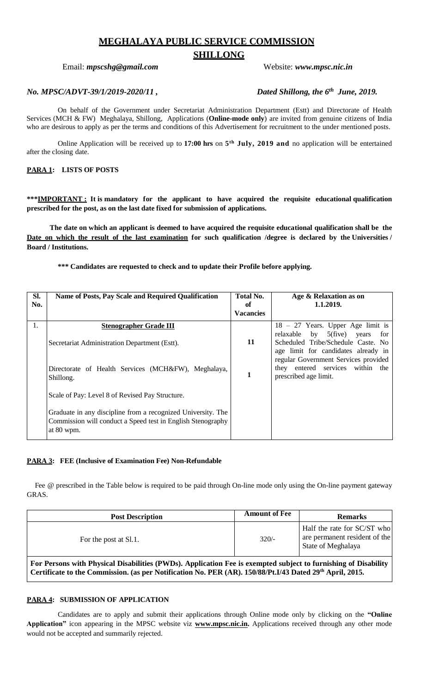# **MEGHALAYA PUBLIC SERVICE COMMISSION**

# **SHILLONG**

## Email: *mpscshg@gmail.com* Website: *www.mpsc.nic.in*

# *No. MPSC/ADVT-39/1/2019-2020/11 , Dated Shillong, the 6th June, 2019.*

On behalf of the Government under Secretariat Administration Department (Estt) and Directorate of Health Services (MCH & FW) Meghalaya, Shillong, Applications (**Online-mode only**) are invited from genuine citizens of India who are desirous to apply as per the terms and conditions of this Advertisement for recruitment to the under mentioned posts.

Online Application will be received up to **17:00 hrs** on **5 th July, 2019 and** no application will be entertained after the closing date.

# **PARA 1: LISTS OF POSTS**

**\*\*\*IMPORTANT : It is mandatory for the applicant to have acquired the requisite educational qualification prescribed for the post, as on the last date fixed for submission of applications.**

**The date on which an applicant is deemed to have acquired the requisite educational qualification shall be the Date on which the result of the last examination for such qualification /degree is declared by the Universities / Board / Institutions.**

**\*\*\* Candidates are requested to check and to update their Profile before applying.**

| SI.<br>No. | Name of Posts, Pay Scale and Required Qualification                                                                                       | Total No.<br>of<br><b>Vacancies</b> | Age & Relaxation as on<br>1.1.2019.                                                                                                      |
|------------|-------------------------------------------------------------------------------------------------------------------------------------------|-------------------------------------|------------------------------------------------------------------------------------------------------------------------------------------|
| 1.         | <b>Stenographer Grade III</b><br>Secretariat Administration Department (Estt).                                                            | 11                                  | $18 - 27$ Years. Upper Age limit is<br>$5$ (five)<br>relaxable by<br>years<br>for<br>Scheduled Tribe/Schedule Caste. No                  |
|            | Directorate of Health Services (MCH&FW), Meghalaya,<br>Shillong.                                                                          | 1                                   | age limit for candidates already in<br>regular Government Services provided<br>they entered services within the<br>prescribed age limit. |
|            | Scale of Pay: Level 8 of Revised Pay Structure.                                                                                           |                                     |                                                                                                                                          |
|            | Graduate in any discipline from a recognized University. The<br>Commission will conduct a Speed test in English Stenography<br>at 80 wpm. |                                     |                                                                                                                                          |

#### **PARA 3: FEE (Inclusive of Examination Fee) Non-Refundable**

Fee @ prescribed in the Table below is required to be paid through On-line mode only using the On-line payment gateway GRAS.

| <b>Post Description</b>                                                                                                                                                                                                    | <b>Amount of Fee</b> | <b>Remarks</b>                                                                     |  |  |  |
|----------------------------------------------------------------------------------------------------------------------------------------------------------------------------------------------------------------------------|----------------------|------------------------------------------------------------------------------------|--|--|--|
| For the post at Sl.1.                                                                                                                                                                                                      | $320/-$              | Half the rate for SC/ST who<br>are permanent resident of the<br>State of Meghalaya |  |  |  |
| For Persons with Physical Disabilities (PWDs). Application Fee is exempted subject to furnishing of Disability<br>Certificate to the Commission. (as per Notification No. PER (AR). 150/88/Pt.I/43 Dated 29th April, 2015. |                      |                                                                                    |  |  |  |

# **PARA 4: SUBMISSION OF APPLICATION**

 Candidates are to apply and submit their applications through Online mode only by clicking on the **"Online Application"** icon appearing in the MPSC website viz **www.mpsc.nic.in.** Applications received through any other mode would not be accepted and summarily rejected.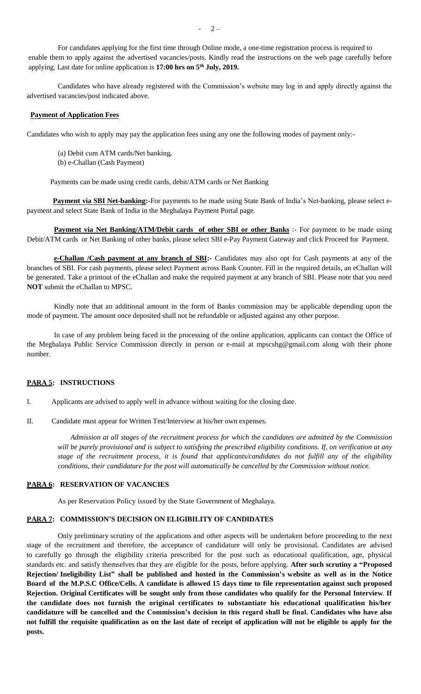For candidates applying for the first time through Online mode, a one-time registration process is required to enable them to apply against the advertised vacancies/posts. Kindly read the instructions on the web page carefully before applying. Last date for online application is **17:00 hrs on 5 th July, 2019.**

 Candidates who have already registered with the Commission's website may log in and apply directly against the advertised vacancies/post indicated above.

#### **Payment of Application Fees**

Candidates who wish to apply may pay the application fees using any one the following modes of payment only:-

- (a) Debit cum ATM cards/Net banking*.*
- (b) e-Challan (Cash Payment)

Payments can be made using credit cards, debit/ATM cards or Net Banking

 **Payment via SBI Net-banking:-**For payments to be made using State Bank of India's Net-banking, please select epayment and select State Bank of India in the Meghalaya Payment Portal page.

**Payment via Net Banking/ATM/Debit cards of other SBI or other Banks :- For payment to be made using** Debit/ATM cards or Net Banking of other banks, please select SBI e-Pay Payment Gateway and click Proceed for Payment.

 **e-Challan /Cash payment at any branch of SBI:-** Candidates may also opt for Cash payments at any of the branches of SBI. For cash payments, please select Payment across Bank Counter. Fill in the required details, an eChallan will be generated. Take a printout of the eChallan and make the required payment at any branch of SBI. Please note that you need **NOT** submit the eChallan to MPSC.

 Kindly note that an additional amount in the form of Banks commission may be applicable depending upon the mode of payment. The amount once deposited shall not be refundable or adjusted against any other purpose.

 In case of any problem being faced in the processing of the online application, applicants can contact the Office of the Meghalaya Public Service Commission directly in person or e-mail at mpscshg@gmail.com along with their phone number.

# **PARA 5: INSTRUCTIONS**

I. Applicants are advised to apply well in advance without waiting for the closing date.

II. Candidate must appear for Written Test/Interview at his/her own expenses.

 *Admission at all stages of the recruitment process for which the candidates are admitted by the Commission will be purely provisional and is subject to satisfying the prescribed eligibility conditions. If, on verification at any stage of the recruitment process, it is found that applicants/candidates do not fulfill any of the eligibility conditions, their candidature for the post will automatically be cancelled by the Commission without notice.*

#### **PARA 6: RESERVATION OF VACANCIES**

As per Reservation Policy issued by the State Government of Meghalaya.

# **PARA 7: COMMISSION'S DECISION ON ELIGIBILITY OF CANDIDATES**

Only preliminary scrutiny of the applications and other aspects will be undertaken before proceeding to the next stage of the recruitment and therefore, the acceptance of candidature will only be provisional. Candidates are advised to carefully go through the eligibility criteria prescribed for the post such as educational qualification, age, physical standards etc. and satisfy themselves that they are eligible for the posts, before applying. **After such scrutiny a "Proposed** Rejection/ Ineligibility List" shall be published and hosted in the Commission's website as well as in the Notice Board of the M.P.S.C Office/Cells. A candidate is allowed 15 days time to file representation against such proposed Rejection. Original Certificates will be sought only from those candidates who qualify for the Personal Interview. If **the candidate does not furnish the original certificates to substantiate his educational qualification his/her candidature will be cancelled and the Commission's decision in this regard shall be final. Candidates who have also not fulfill the requisite qualification as on the last date of receipt of application will not be eligible to apply for the posts.**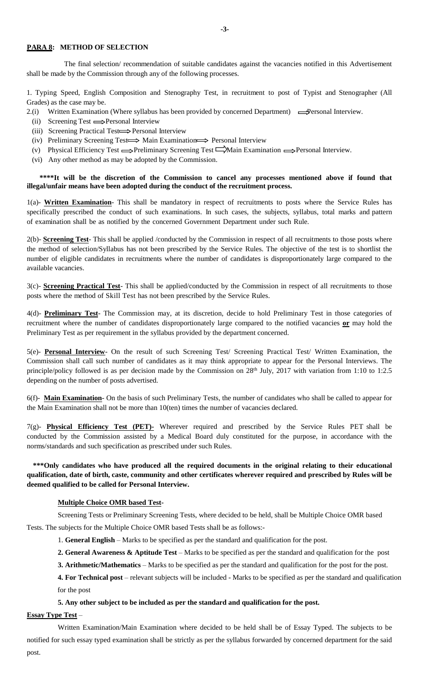# **PARA 8: METHOD OF SELECTION**

 The final selection/ recommendation of suitable candidates against the vacancies notified in this Advertisement shall be made by the Commission through any of the following processes.

1. Typing Speed, English Composition and Stenography Test, in recruitment to post of Typist and Stenographer (All Grades) as the case may be.

2.(i) Written Examination (Where syllabus has been provided by concerned Department)  $\implies$ Personal Interview.

- (ii) Screening Test  $\Longrightarrow$  Personal Interview
- (iii) Screening Practical Test-> Personal Interview
- (iv) Preliminary Screening Test  $\Longrightarrow$  Main Examination  $\Longrightarrow$  Personal Interview
- (v) Physical Efficiency Test  $\Longrightarrow$  Preliminary Screening Test  $\Longrightarrow$  Main Examination  $\Longrightarrow$  Personal Interview.
- (vi) Any other method as may be adopted by the Commission.

#### **\*\*\*\*It will be the discretion of the Commission to cancel any processes mentioned above if found that illegal/unfair means have been adopted during the conduct of the recruitment process.**

1(a)- **Written Examination**- This shall be mandatory in respect of recruitments to posts where the Service Rules has specifically prescribed the conduct of such examinations. In such cases, the subjects, syllabus, total marks and pattern of examination shall be as notified by the concerned Government Department under such Rule.

2(b)- **Screening Test**- This shall be applied /conducted by the Commission in respect of all recruitments to those posts where the method of selection/Syllabus has not been prescribed by the Service Rules. The objective of the test is to shortlist the number of eligible candidates in recruitments where the number of candidates is disproportionately large compared to the available vacancies.

3(c)- **Screening Practical Test**- This shall be applied/conducted by the Commission in respect of all recruitments to those posts where the method of Skill Test has not been prescribed by the Service Rules.

4(d)- **Preliminary Test**- The Commission may, at its discretion, decide to hold Preliminary Test in those categories of recruitment where the number of candidates disproportionately large compared to the notified vacancies **or** may hold the Preliminary Test as per requirement in the syllabus provided by the department concerned.

5(e)- **Personal Interview**- On the result of such Screening Test/ Screening Practical Test/ Written Examination, the Commission shall call such number of candidates as it may think appropriate to appear for the Personal Interviews. The principle/policy followed is as per decision made by the Commission on 28<sup>th</sup> July, 2017 with variation from 1:10 to 1:2.5 depending on the number of posts advertised.

6(f)- **Main Examination**- On the basis of such Preliminary Tests, the number of candidates who shall be called to appear for the Main Examination shall not be more than 10(ten) times the number of vacancies declared.

7(g)- **Physical Efficiency Test (PET)-** Wherever required and prescribed by the Service Rules PET shall be conducted by the Commission assisted by a Medical Board duly constituted for the purpose, in accordance with the norms/standards and such specification as prescribed under such Rules.

# **\*\*\*Only candidates who have produced all the required documents in the original relating to their educational qualification, date of birth, caste, community and other certificates wherever required and prescribed by Rules will be deemed qualified to be called for Personal Interview.**

#### **Multiple Choice OMR based Test-**

Screening Tests or Preliminary Screening Tests, where decided to be held, shall be Multiple Choice OMR based Tests. The subjects for the Multiple Choice OMR based Tests shall be as follows:-

1. **General English** – Marks to be specified as per the standard and qualification for the post.

**2. General Awareness & Aptitude Test** – Marks to be specified as per the standard and qualification for the post

**3. Arithmetic/Mathematics** – Marks to be specified as per the standard and qualification for the post for the post.

**4. For Technical post** – relevant subjects will be included - Marks to be specified as per the standard and qualification for the post

#### **5. Any other subject to be included as per the standard and qualification for the post.**

#### **Essay Type Test** –

Written Examination/Main Examination where decided to be held shall be of Essay Typed. The subjects to be notified for such essay typed examination shall be strictly as per the syllabus forwarded by concerned department for the said post.